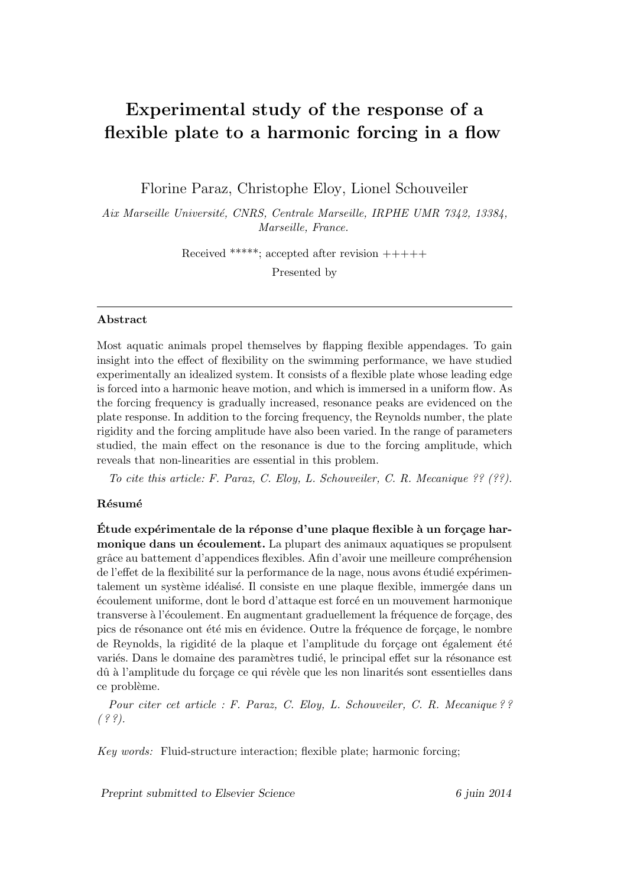# Experimental study of the response of a flexible plate to a harmonic forcing in a flow

Florine Paraz, Christophe Eloy, Lionel Schouveiler

Aix Marseille Université, CNRS, Centrale Marseille, IRPHE UMR 7342, 13384, Marseille, France.

Received \*\*\*\*\*; accepted after revision  $+++++$ 

Presented by

#### Abstract

Most aquatic animals propel themselves by flapping flexible appendages. To gain insight into the effect of flexibility on the swimming performance, we have studied experimentally an idealized system. It consists of a flexible plate whose leading edge is forced into a harmonic heave motion, and which is immersed in a uniform flow. As the forcing frequency is gradually increased, resonance peaks are evidenced on the plate response. In addition to the forcing frequency, the Reynolds number, the plate rigidity and the forcing amplitude have also been varied. In the range of parameters studied, the main effect on the resonance is due to the forcing amplitude, which reveals that non-linearities are essential in this problem.

To cite this article: F. Paraz, C. Eloy, L. Schouveiler, C. R. Mecanique ?? (??).

### Résumé

Étude expérimentale de la réponse d'une plaque flexible à un forçage harmonique dans un écoulement. La plupart des animaux aquatiques se propulsent grâce au battement d'appendices flexibles. Afin d'avoir une meilleure compréhension de l'effet de la flexibilité sur la performance de la nage, nous avons étudié expérimentalement un système idéalisé. Il consiste en une plaque flexible, immergée dans un ´ecoulement uniforme, dont le bord d'attaque est forc´e en un mouvement harmonique transverse à l'écoulement. En augmentant graduellement la fréquence de forçage, des pics de résonance ont été mis en évidence. Outre la fréquence de forçage, le nombre de Reynolds, la rigidité de la plaque et l'amplitude du forçage ont également été variés. Dans le domaine des paramètres tudié, le principal effet sur la résonance est dû à l'amplitude du forçage ce qui révèle que les non linarités sont essentielles dans ce problème.

Pour citer cet article : F. Paraz, C. Eloy, L. Schouveiler, C. R. Mecanique ??  $( ? ?).$ 

Key words: Fluid-structure interaction; flexible plate; harmonic forcing;

Preprint submitted to Elsevier Science 6 juin 2014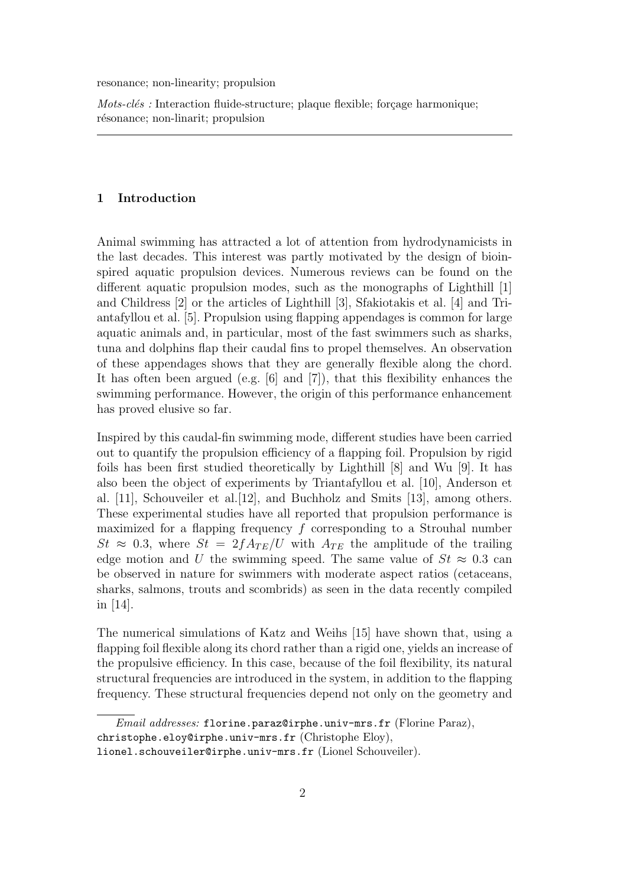resonance; non-linearity; propulsion

 $Mots$ -clés : Interaction fluide-structure; plaque flexible; forçage harmonique; résonance; non-linarit; propulsion

#### 1 Introduction

Animal swimming has attracted a lot of attention from hydrodynamicists in the last decades. This interest was partly motivated by the design of bioinspired aquatic propulsion devices. Numerous reviews can be found on the different aquatic propulsion modes, such as the monographs of Lighthill [1] and Childress [2] or the articles of Lighthill [3], Sfakiotakis et al. [4] and Triantafyllou et al. [5]. Propulsion using flapping appendages is common for large aquatic animals and, in particular, most of the fast swimmers such as sharks, tuna and dolphins flap their caudal fins to propel themselves. An observation of these appendages shows that they are generally flexible along the chord. It has often been argued (e.g. [6] and [7]), that this flexibility enhances the swimming performance. However, the origin of this performance enhancement has proved elusive so far.

Inspired by this caudal-fin swimming mode, different studies have been carried out to quantify the propulsion efficiency of a flapping foil. Propulsion by rigid foils has been first studied theoretically by Lighthill [8] and Wu [9]. It has also been the object of experiments by Triantafyllou et al. [10], Anderson et al. [11], Schouveiler et al.[12], and Buchholz and Smits [13], among others. These experimental studies have all reported that propulsion performance is maximized for a flapping frequency  $f$  corresponding to a Strouhal number  $St \approx 0.3$ , where  $St = 2fA_{TE}/U$  with  $A_{TE}$  the amplitude of the trailing edge motion and U the swimming speed. The same value of  $St \approx 0.3$  can be observed in nature for swimmers with moderate aspect ratios (cetaceans, sharks, salmons, trouts and scombrids) as seen in the data recently compiled in [14].

The numerical simulations of Katz and Weihs [15] have shown that, using a flapping foil flexible along its chord rather than a rigid one, yields an increase of the propulsive efficiency. In this case, because of the foil flexibility, its natural structural frequencies are introduced in the system, in addition to the flapping frequency. These structural frequencies depend not only on the geometry and

Email addresses: florine.paraz@irphe.univ-mrs.fr (Florine Paraz), christophe.eloy@irphe.univ-mrs.fr (Christophe Eloy),

lionel.schouveiler@irphe.univ-mrs.fr (Lionel Schouveiler).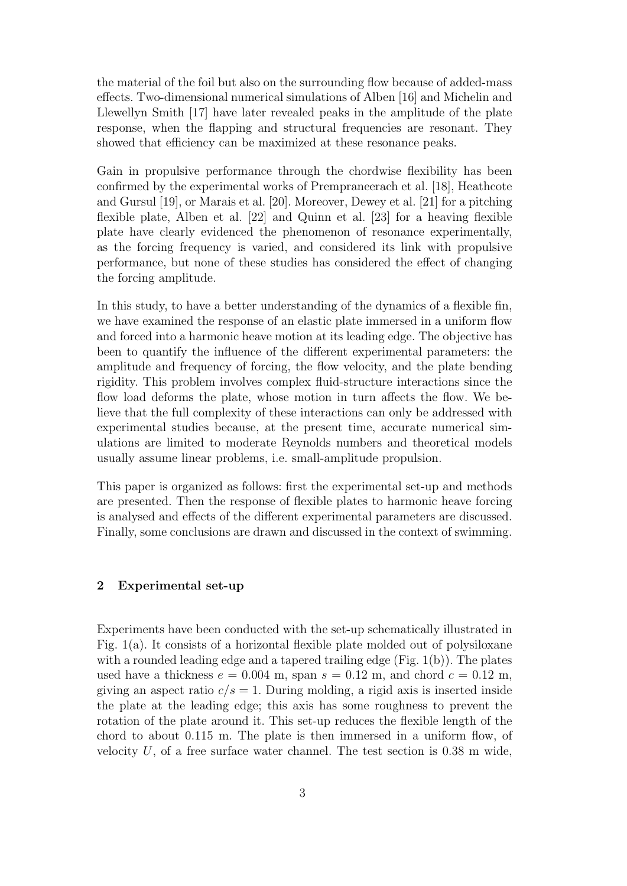the material of the foil but also on the surrounding flow because of added-mass effects. Two-dimensional numerical simulations of Alben [16] and Michelin and Llewellyn Smith [17] have later revealed peaks in the amplitude of the plate response, when the flapping and structural frequencies are resonant. They showed that efficiency can be maximized at these resonance peaks.

Gain in propulsive performance through the chordwise flexibility has been confirmed by the experimental works of Prempraneerach et al. [18], Heathcote and Gursul [19], or Marais et al. [20]. Moreover, Dewey et al. [21] for a pitching flexible plate, Alben et al. [22] and Quinn et al. [23] for a heaving flexible plate have clearly evidenced the phenomenon of resonance experimentally, as the forcing frequency is varied, and considered its link with propulsive performance, but none of these studies has considered the effect of changing the forcing amplitude.

In this study, to have a better understanding of the dynamics of a flexible fin, we have examined the response of an elastic plate immersed in a uniform flow and forced into a harmonic heave motion at its leading edge. The objective has been to quantify the influence of the different experimental parameters: the amplitude and frequency of forcing, the flow velocity, and the plate bending rigidity. This problem involves complex fluid-structure interactions since the flow load deforms the plate, whose motion in turn affects the flow. We believe that the full complexity of these interactions can only be addressed with experimental studies because, at the present time, accurate numerical simulations are limited to moderate Reynolds numbers and theoretical models usually assume linear problems, i.e. small-amplitude propulsion.

This paper is organized as follows: first the experimental set-up and methods are presented. Then the response of flexible plates to harmonic heave forcing is analysed and effects of the different experimental parameters are discussed. Finally, some conclusions are drawn and discussed in the context of swimming.

# 2 Experimental set-up

Experiments have been conducted with the set-up schematically illustrated in Fig. 1(a). It consists of a horizontal flexible plate molded out of polysiloxane with a rounded leading edge and a tapered trailing edge (Fig.  $1(b)$ ). The plates used have a thickness  $e = 0.004$  m, span  $s = 0.12$  m, and chord  $c = 0.12$  m, giving an aspect ratio  $c/s = 1$ . During molding, a rigid axis is inserted inside the plate at the leading edge; this axis has some roughness to prevent the rotation of the plate around it. This set-up reduces the flexible length of the chord to about 0.115 m. The plate is then immersed in a uniform flow, of velocity  $U$ , of a free surface water channel. The test section is 0.38 m wide,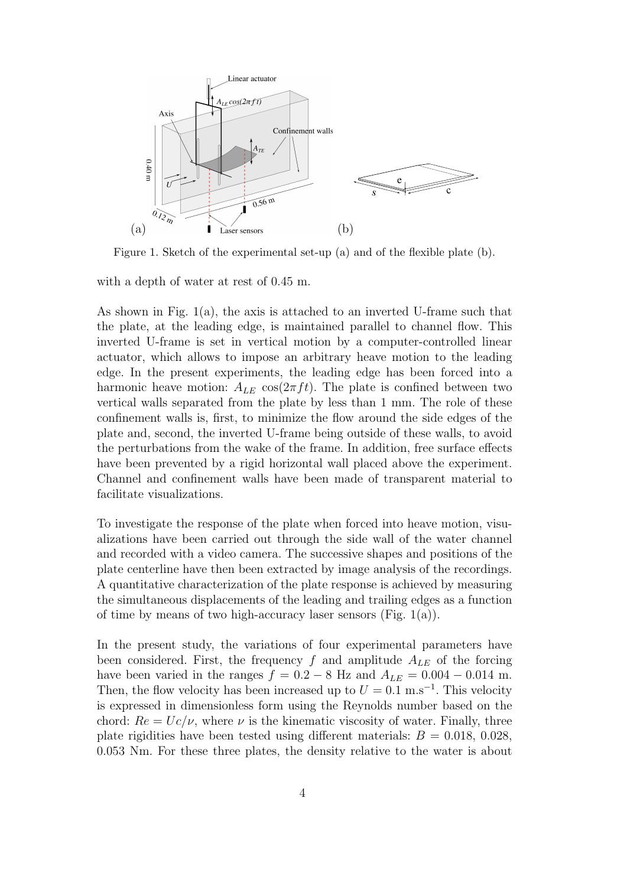

Figure 1. Sketch of the experimental set-up (a) and of the flexible plate (b).

with a depth of water at rest of 0.45 m.

As shown in Fig. 1(a), the axis is attached to an inverted U-frame such that the plate, at the leading edge, is maintained parallel to channel flow. This inverted U-frame is set in vertical motion by a computer-controlled linear actuator, which allows to impose an arbitrary heave motion to the leading edge. In the present experiments, the leading edge has been forced into a harmonic heave motion:  $A_{LE}$  cos( $2\pi ft$ ). The plate is confined between two vertical walls separated from the plate by less than 1 mm. The role of these confinement walls is, first, to minimize the flow around the side edges of the plate and, second, the inverted U-frame being outside of these walls, to avoid the perturbations from the wake of the frame. In addition, free surface effects have been prevented by a rigid horizontal wall placed above the experiment. Channel and confinement walls have been made of transparent material to facilitate visualizations.

To investigate the response of the plate when forced into heave motion, visualizations have been carried out through the side wall of the water channel and recorded with a video camera. The successive shapes and positions of the plate centerline have then been extracted by image analysis of the recordings. A quantitative characterization of the plate response is achieved by measuring the simultaneous displacements of the leading and trailing edges as a function of time by means of two high-accuracy laser sensors (Fig.  $1(a)$ ).

In the present study, the variations of four experimental parameters have been considered. First, the frequency f and amplitude  $A_{LE}$  of the forcing have been varied in the ranges  $f = 0.2 - 8$  Hz and  $A_{LE} = 0.004 - 0.014$  m. Then, the flow velocity has been increased up to  $U = 0.1$  m.s<sup>-1</sup>. This velocity is expressed in dimensionless form using the Reynolds number based on the chord:  $Re = Uc/\nu$ , where  $\nu$  is the kinematic viscosity of water. Finally, three plate rigidities have been tested using different materials:  $B = 0.018, 0.028,$ 0.053 Nm. For these three plates, the density relative to the water is about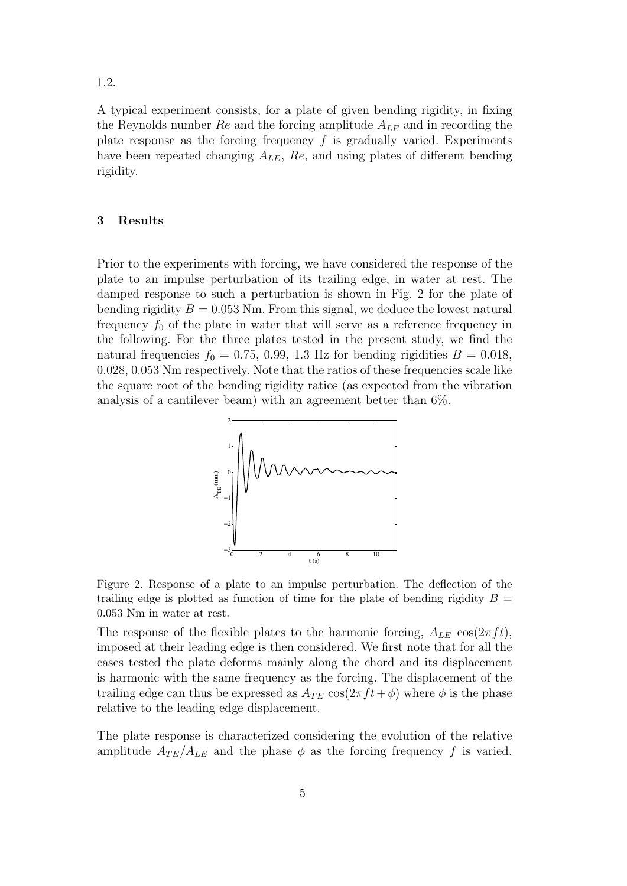1.2.

A typical experiment consists, for a plate of given bending rigidity, in fixing the Reynolds number  $Re$  and the forcing amplitude  $A_{LE}$  and in recording the plate response as the forcing frequency  $f$  is gradually varied. Experiments have been repeated changing  $A_{LE}$ ,  $Re$ , and using plates of different bending rigidity.

#### 3 Results

Prior to the experiments with forcing, we have considered the response of the plate to an impulse perturbation of its trailing edge, in water at rest. The damped response to such a perturbation is shown in Fig. 2 for the plate of bending rigidity  $B = 0.053$  Nm. From this signal, we deduce the lowest natural frequency  $f_0$  of the plate in water that will serve as a reference frequency in the following. For the three plates tested in the present study, we find the natural frequencies  $f_0 = 0.75, 0.99, 1.3$  Hz for bending rigidities  $B = 0.018$ , 0.028, 0.053 Nm respectively. Note that the ratios of these frequencies scale like the square root of the bending rigidity ratios (as expected from the vibration analysis of a cantilever beam) with an agreement better than 6%.



Figure 2. Response of a plate to an impulse perturbation. The deflection of the trailing edge is plotted as function of time for the plate of bending rigidity  $B =$ 0.053 Nm in water at rest.

The response of the flexible plates to the harmonic forcing,  $A_{LE} \cos(2\pi f t)$ , imposed at their leading edge is then considered. We first note that for all the cases tested the plate deforms mainly along the chord and its displacement is harmonic with the same frequency as the forcing. The displacement of the trailing edge can thus be expressed as  $A_{TE} \cos(2\pi ft + \phi)$  where  $\phi$  is the phase relative to the leading edge displacement.

The plate response is characterized considering the evolution of the relative amplitude  $A_{TE}/A_{LE}$  and the phase  $\phi$  as the forcing frequency f is varied.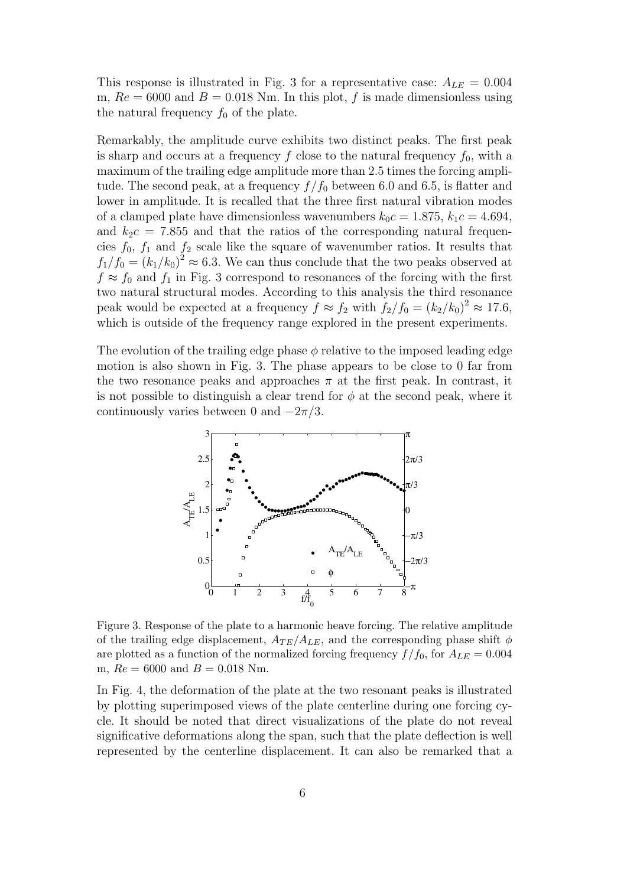This response is illustrated in Fig. 3 for a representative case:  $A_{LE} = 0.004$ m,  $Re = 6000$  and  $B = 0.018$  Nm. In this plot, f is made dimensionless using the natural frequency  $f_0$  of the plate.

Remarkably, the amplitude curve exhibits two distinct peaks. The first peak is sharp and occurs at a frequency f close to the natural frequency  $f_0$ , with a maximum of the trailing edge amplitude more than 2.5 times the forcing amplitude. The second peak, at a frequency  $f/f_0$  between 6.0 and 6.5, is flatter and lower in amplitude. It is recalled that the three first natural vibration modes of a clamped plate have dimensionless wavenumbers  $k_0c = 1.875$ ,  $k_1c = 4.694$ , and  $k_2c = 7.855$  and that the ratios of the corresponding natural frequencies  $f_0$ ,  $f_1$  and  $f_2$  scale like the square of wavenumber ratios. It results that  $f_1/f_0 = (k_1/k_0)^2 \approx 6.3$ . We can thus conclude that the two peaks observed at  $f \approx f_0$  and  $f_1$  in Fig. 3 correspond to resonances of the forcing with the first two natural structural modes. According to this analysis the third resonance peak would be expected at a frequency  $f \approx f_2$  with  $f_2/f_0 = (k_2/k_0)^2 \approx 17.6$ , which is outside of the frequency range explored in the present experiments.

The evolution of the trailing edge phase  $\phi$  relative to the imposed leading edge motion is also shown in Fig. 3. The phase appears to be close to 0 far from the two resonance peaks and approaches  $\pi$  at the first peak. In contrast, it is not possible to distinguish a clear trend for  $\phi$  at the second peak, where it continuously varies between 0 and  $-2\pi/3$ .



Figure 3. Response of the plate to a harmonic heave forcing. The relative amplitude of the trailing edge displacement,  $A_{TE}/A_{LE}$ , and the corresponding phase shift  $\phi$ are plotted as a function of the normalized forcing frequency  $f/f_0$ , for  $A_{LE} = 0.004$ m,  $Re = 6000$  and  $B = 0.018$  Nm.

In Fig. 4, the deformation of the plate at the two resonant peaks is illustrated by plotting superimposed views of the plate centerline during one forcing cycle. It should be noted that direct visualizations of the plate do not reveal significative deformations along the span, such that the plate deflection is well represented by the centerline displacement. It can also be remarked that a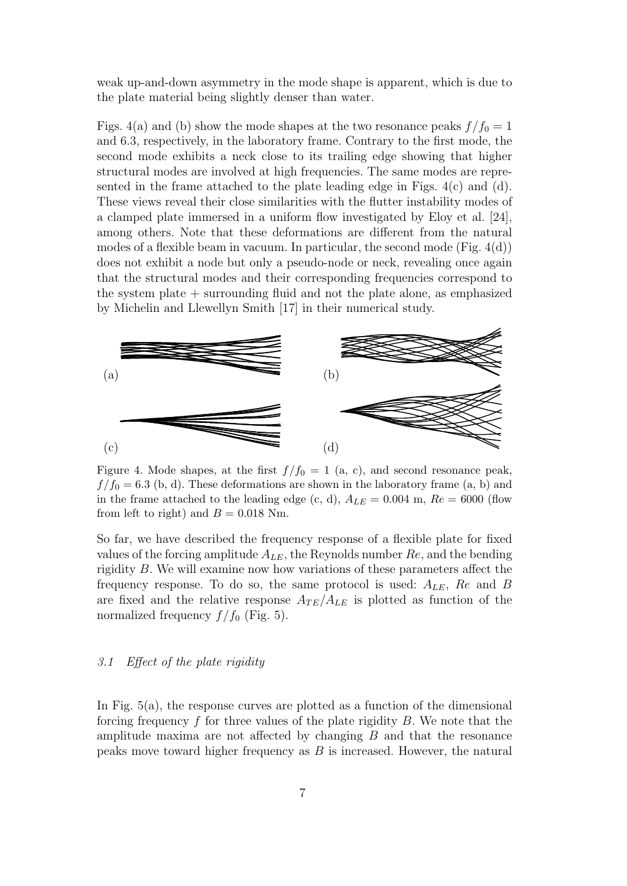weak up-and-down asymmetry in the mode shape is apparent, which is due to the plate material being slightly denser than water.

Figs. 4(a) and (b) show the mode shapes at the two resonance peaks  $f/f_0 = 1$ and 6.3, respectively, in the laboratory frame. Contrary to the first mode, the second mode exhibits a neck close to its trailing edge showing that higher structural modes are involved at high frequencies. The same modes are represented in the frame attached to the plate leading edge in Figs. 4(c) and (d). These views reveal their close similarities with the flutter instability modes of a clamped plate immersed in a uniform flow investigated by Eloy et al. [24], among others. Note that these deformations are different from the natural modes of a flexible beam in vacuum. In particular, the second mode (Fig.  $4(d)$ ) does not exhibit a node but only a pseudo-node or neck, revealing once again that the structural modes and their corresponding frequencies correspond to the system plate + surrounding fluid and not the plate alone, as emphasized by Michelin and Llewellyn Smith [17] in their numerical study.



Figure 4. Mode shapes, at the first  $f/f_0 = 1$  (a, c), and second resonance peak,  $f/f_0 = 6.3$  (b, d). These deformations are shown in the laboratory frame (a, b) and in the frame attached to the leading edge (c, d),  $A_{LE} = 0.004$  m,  $Re = 6000$  (flow from left to right) and  $B = 0.018$  Nm.

So far, we have described the frequency response of a flexible plate for fixed values of the forcing amplitude  $A_{LE}$ , the Reynolds number  $Re$ , and the bending rigidity B. We will examine now how variations of these parameters affect the frequency response. To do so, the same protocol is used:  $A_{LE}$ ,  $Re$  and  $B$ are fixed and the relative response  $A_{TE}/A_{LE}$  is plotted as function of the normalized frequency  $f/f_0$  (Fig. 5).

#### 3.1 Effect of the plate rigidity

In Fig. 5(a), the response curves are plotted as a function of the dimensional forcing frequency  $f$  for three values of the plate rigidity  $B$ . We note that the amplitude maxima are not affected by changing  $B$  and that the resonance peaks move toward higher frequency as  $B$  is increased. However, the natural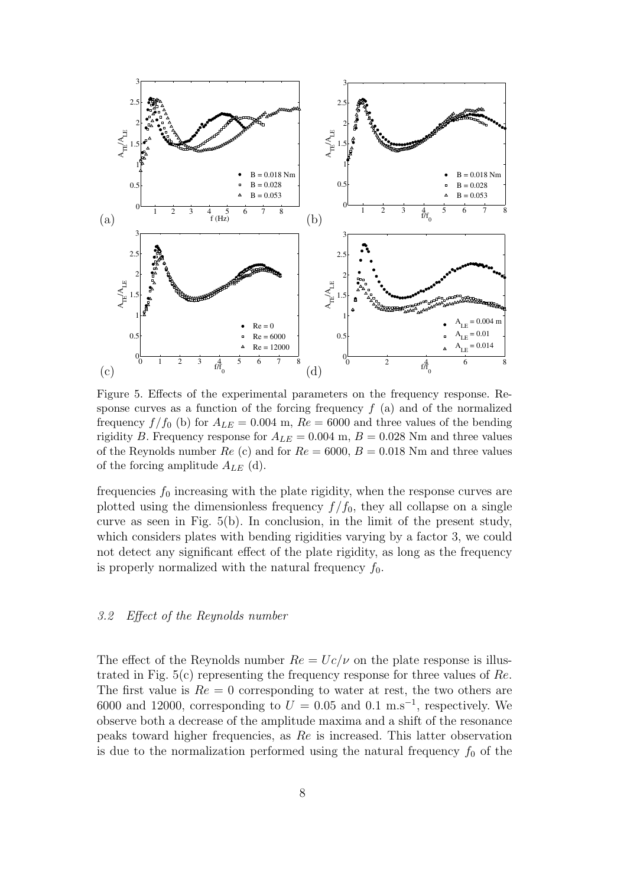

Figure 5. Effects of the experimental parameters on the frequency response. Response curves as a function of the forcing frequency  $f(a)$  and of the normalized frequency  $f/f_0$  (b) for  $A_{LE} = 0.004$  m,  $Re = 6000$  and three values of the bending rigidity B. Frequency response for  $A_{LE} = 0.004$  m,  $B = 0.028$  Nm and three values of the Reynolds number  $Re (c)$  and for  $Re = 6000, B = 0.018$  Nm and three values of the forcing amplitude  $A_{LE}$  (d).

frequencies  $f_0$  increasing with the plate rigidity, when the response curves are plotted using the dimensionless frequency  $f/f_0$ , they all collapse on a single curve as seen in Fig. 5(b). In conclusion, in the limit of the present study, which considers plates with bending rigidities varying by a factor 3, we could not detect any significant effect of the plate rigidity, as long as the frequency is properly normalized with the natural frequency  $f_0$ .

# 3.2 Effect of the Reynolds number

The effect of the Reynolds number  $Re = Uc/\nu$  on the plate response is illustrated in Fig.  $5(c)$  representing the frequency response for three values of Re. The first value is  $Re = 0$  corresponding to water at rest, the two others are 6000 and 12000, corresponding to  $U = 0.05$  and 0.1 m.s<sup>-1</sup>, respectively. We observe both a decrease of the amplitude maxima and a shift of the resonance peaks toward higher frequencies, as Re is increased. This latter observation is due to the normalization performed using the natural frequency  $f_0$  of the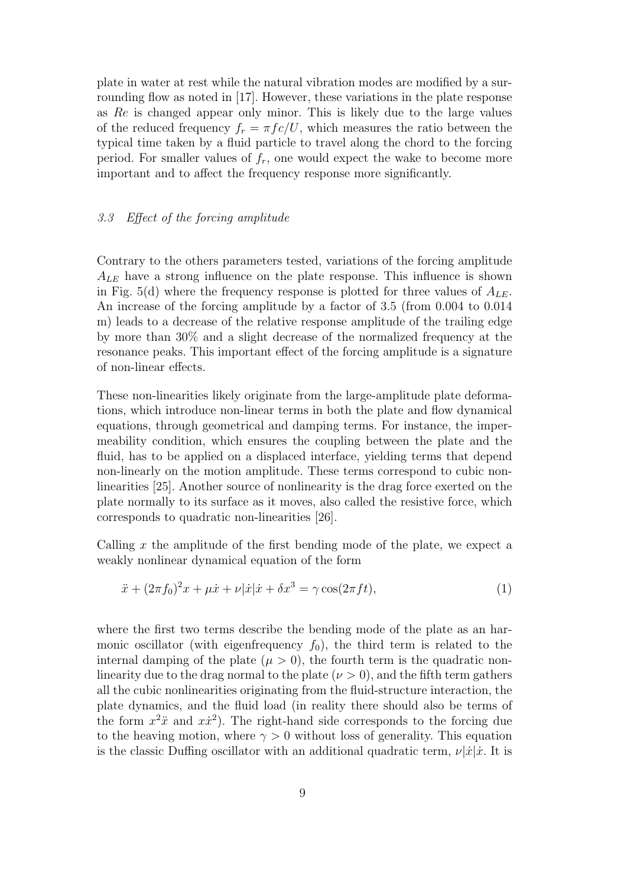plate in water at rest while the natural vibration modes are modified by a surrounding flow as noted in [17]. However, these variations in the plate response as Re is changed appear only minor. This is likely due to the large values of the reduced frequency  $f_r = \pi f c/U$ , which measures the ratio between the typical time taken by a fluid particle to travel along the chord to the forcing period. For smaller values of  $f_r$ , one would expect the wake to become more important and to affect the frequency response more significantly.

# 3.3 Effect of the forcing amplitude

Contrary to the others parameters tested, variations of the forcing amplitude  $A_{LE}$  have a strong influence on the plate response. This influence is shown in Fig. 5(d) where the frequency response is plotted for three values of  $A_{LE}$ . An increase of the forcing amplitude by a factor of 3.5 (from 0.004 to 0.014 m) leads to a decrease of the relative response amplitude of the trailing edge by more than 30% and a slight decrease of the normalized frequency at the resonance peaks. This important effect of the forcing amplitude is a signature of non-linear effects.

These non-linearities likely originate from the large-amplitude plate deformations, which introduce non-linear terms in both the plate and flow dynamical equations, through geometrical and damping terms. For instance, the impermeability condition, which ensures the coupling between the plate and the fluid, has to be applied on a displaced interface, yielding terms that depend non-linearly on the motion amplitude. These terms correspond to cubic nonlinearities [25]. Another source of nonlinearity is the drag force exerted on the plate normally to its surface as it moves, also called the resistive force, which corresponds to quadratic non-linearities [26].

Calling  $x$  the amplitude of the first bending mode of the plate, we expect a weakly nonlinear dynamical equation of the form

$$
\ddot{x} + (2\pi f_0)^2 x + \mu \dot{x} + \nu |\dot{x}| \dot{x} + \delta x^3 = \gamma \cos(2\pi f t), \tag{1}
$$

where the first two terms describe the bending mode of the plate as an harmonic oscillator (with eigenfrequency  $f_0$ ), the third term is related to the internal damping of the plate  $(\mu > 0)$ , the fourth term is the quadratic nonlinearity due to the drag normal to the plate  $(\nu > 0)$ , and the fifth term gathers all the cubic nonlinearities originating from the fluid-structure interaction, the plate dynamics, and the fluid load (in reality there should also be terms of the form  $x^2 \ddot{x}$  and  $x \dot{x}^2$ ). The right-hand side corresponds to the forcing due to the heaving motion, where  $\gamma > 0$  without loss of generality. This equation is the classic Duffing oscillator with an additional quadratic term,  $\nu |\dot{x}| \dot{x}$ . It is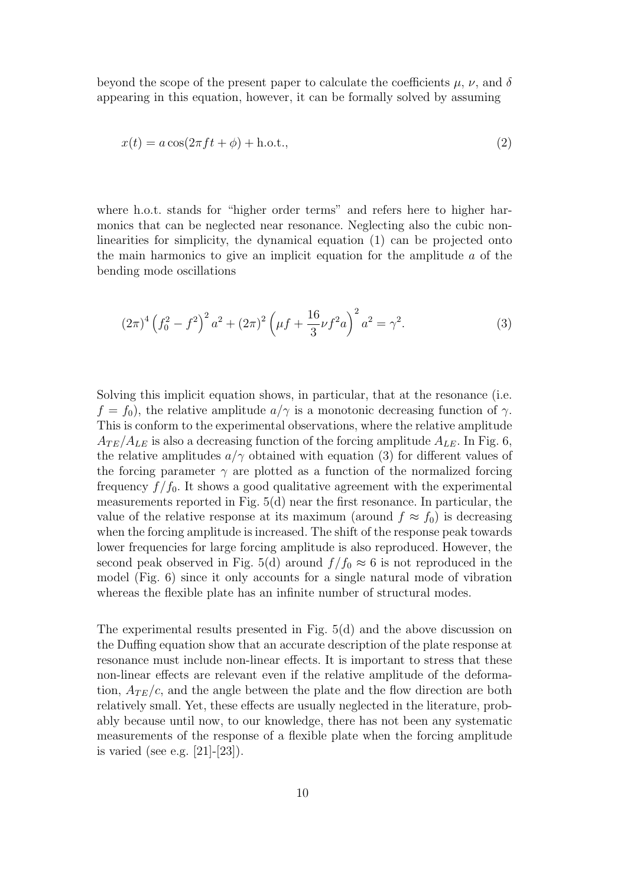beyond the scope of the present paper to calculate the coefficients  $\mu$ ,  $\nu$ , and  $\delta$ appearing in this equation, however, it can be formally solved by assuming

$$
x(t) = a\cos(2\pi ft + \phi) + \text{h.o.t.},\tag{2}
$$

where h.o.t. stands for "higher order terms" and refers here to higher harmonics that can be neglected near resonance. Neglecting also the cubic nonlinearities for simplicity, the dynamical equation (1) can be projected onto the main harmonics to give an implicit equation for the amplitude  $a$  of the bending mode oscillations

$$
(2\pi)^4 \left(f_0^2 - f^2\right)^2 a^2 + (2\pi)^2 \left(\mu f + \frac{16}{3}\nu f^2 a\right)^2 a^2 = \gamma^2. \tag{3}
$$

Solving this implicit equation shows, in particular, that at the resonance (i.e.  $f = f_0$ , the relative amplitude  $a/\gamma$  is a monotonic decreasing function of  $\gamma$ . This is conform to the experimental observations, where the relative amplitude  $A_{TE}/A_{LE}$  is also a decreasing function of the forcing amplitude  $A_{LE}$ . In Fig. 6, the relative amplitudes  $a/\gamma$  obtained with equation (3) for different values of the forcing parameter  $\gamma$  are plotted as a function of the normalized forcing frequency  $f/f_0$ . It shows a good qualitative agreement with the experimental measurements reported in Fig. 5(d) near the first resonance. In particular, the value of the relative response at its maximum (around  $f \approx f_0$ ) is decreasing when the forcing amplitude is increased. The shift of the response peak towards lower frequencies for large forcing amplitude is also reproduced. However, the second peak observed in Fig. 5(d) around  $f/f_0 \approx 6$  is not reproduced in the model (Fig. 6) since it only accounts for a single natural mode of vibration whereas the flexible plate has an infinite number of structural modes.

The experimental results presented in Fig. 5(d) and the above discussion on the Duffing equation show that an accurate description of the plate response at resonance must include non-linear effects. It is important to stress that these non-linear effects are relevant even if the relative amplitude of the deformation,  $A_{TE}/c$ , and the angle between the plate and the flow direction are both relatively small. Yet, these effects are usually neglected in the literature, probably because until now, to our knowledge, there has not been any systematic measurements of the response of a flexible plate when the forcing amplitude is varied (see e.g. [21]-[23]).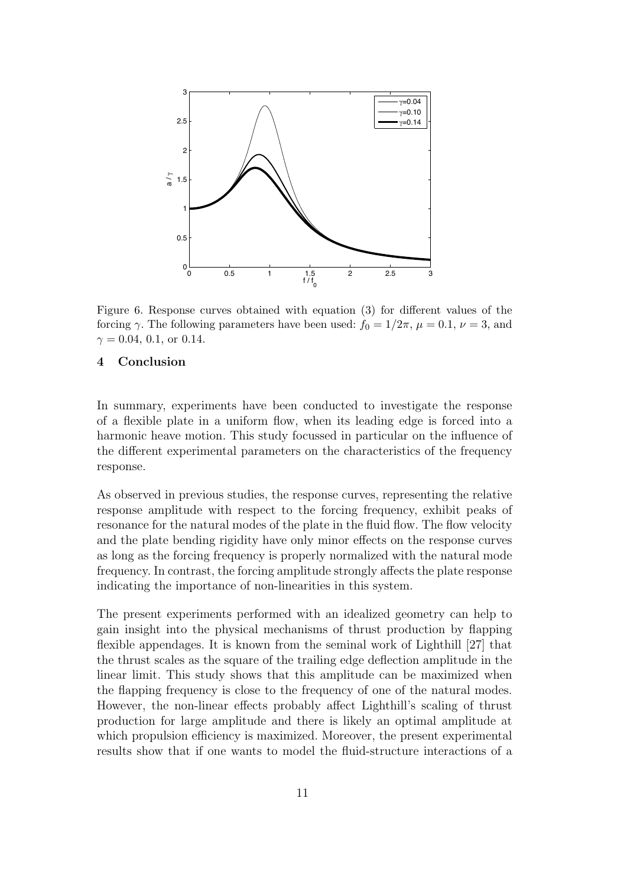

Figure 6. Response curves obtained with equation (3) for different values of the forcing  $\gamma$ . The following parameters have been used:  $f_0 = 1/2\pi$ ,  $\mu = 0.1$ ,  $\nu = 3$ , and  $\gamma = 0.04, 0.1,$  or 0.14.

#### 4 Conclusion

In summary, experiments have been conducted to investigate the response of a flexible plate in a uniform flow, when its leading edge is forced into a harmonic heave motion. This study focussed in particular on the influence of the different experimental parameters on the characteristics of the frequency response.

As observed in previous studies, the response curves, representing the relative response amplitude with respect to the forcing frequency, exhibit peaks of resonance for the natural modes of the plate in the fluid flow. The flow velocity and the plate bending rigidity have only minor effects on the response curves as long as the forcing frequency is properly normalized with the natural mode frequency. In contrast, the forcing amplitude strongly affects the plate response indicating the importance of non-linearities in this system.

The present experiments performed with an idealized geometry can help to gain insight into the physical mechanisms of thrust production by flapping flexible appendages. It is known from the seminal work of Lighthill [27] that the thrust scales as the square of the trailing edge deflection amplitude in the linear limit. This study shows that this amplitude can be maximized when the flapping frequency is close to the frequency of one of the natural modes. However, the non-linear effects probably affect Lighthill's scaling of thrust production for large amplitude and there is likely an optimal amplitude at which propulsion efficiency is maximized. Moreover, the present experimental results show that if one wants to model the fluid-structure interactions of a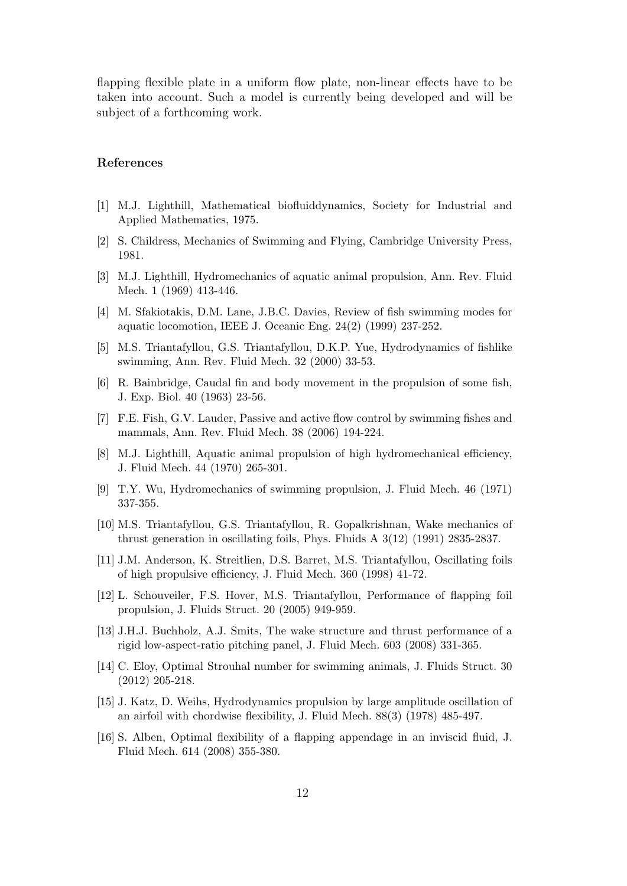flapping flexible plate in a uniform flow plate, non-linear effects have to be taken into account. Such a model is currently being developed and will be subject of a forthcoming work.

#### References

- [1] M.J. Lighthill, Mathematical biofluiddynamics, Society for Industrial and Applied Mathematics, 1975.
- [2] S. Childress, Mechanics of Swimming and Flying, Cambridge University Press, 1981.
- [3] M.J. Lighthill, Hydromechanics of aquatic animal propulsion, Ann. Rev. Fluid Mech. 1 (1969) 413-446.
- [4] M. Sfakiotakis, D.M. Lane, J.B.C. Davies, Review of fish swimming modes for aquatic locomotion, IEEE J. Oceanic Eng. 24(2) (1999) 237-252.
- [5] M.S. Triantafyllou, G.S. Triantafyllou, D.K.P. Yue, Hydrodynamics of fishlike swimming, Ann. Rev. Fluid Mech. 32 (2000) 33-53.
- [6] R. Bainbridge, Caudal fin and body movement in the propulsion of some fish, J. Exp. Biol. 40 (1963) 23-56.
- [7] F.E. Fish, G.V. Lauder, Passive and active flow control by swimming fishes and mammals, Ann. Rev. Fluid Mech. 38 (2006) 194-224.
- [8] M.J. Lighthill, Aquatic animal propulsion of high hydromechanical efficiency, J. Fluid Mech. 44 (1970) 265-301.
- [9] T.Y. Wu, Hydromechanics of swimming propulsion, J. Fluid Mech. 46 (1971) 337-355.
- [10] M.S. Triantafyllou, G.S. Triantafyllou, R. Gopalkrishnan, Wake mechanics of thrust generation in oscillating foils, Phys. Fluids A 3(12) (1991) 2835-2837.
- [11] J.M. Anderson, K. Streitlien, D.S. Barret, M.S. Triantafyllou, Oscillating foils of high propulsive efficiency, J. Fluid Mech. 360 (1998) 41-72.
- [12] L. Schouveiler, F.S. Hover, M.S. Triantafyllou, Performance of flapping foil propulsion, J. Fluids Struct. 20 (2005) 949-959.
- [13] J.H.J. Buchholz, A.J. Smits, The wake structure and thrust performance of a rigid low-aspect-ratio pitching panel, J. Fluid Mech. 603 (2008) 331-365.
- [14] C. Eloy, Optimal Strouhal number for swimming animals, J. Fluids Struct. 30 (2012) 205-218.
- [15] J. Katz, D. Weihs, Hydrodynamics propulsion by large amplitude oscillation of an airfoil with chordwise flexibility, J. Fluid Mech. 88(3) (1978) 485-497.
- [16] S. Alben, Optimal flexibility of a flapping appendage in an inviscid fluid, J. Fluid Mech. 614 (2008) 355-380.